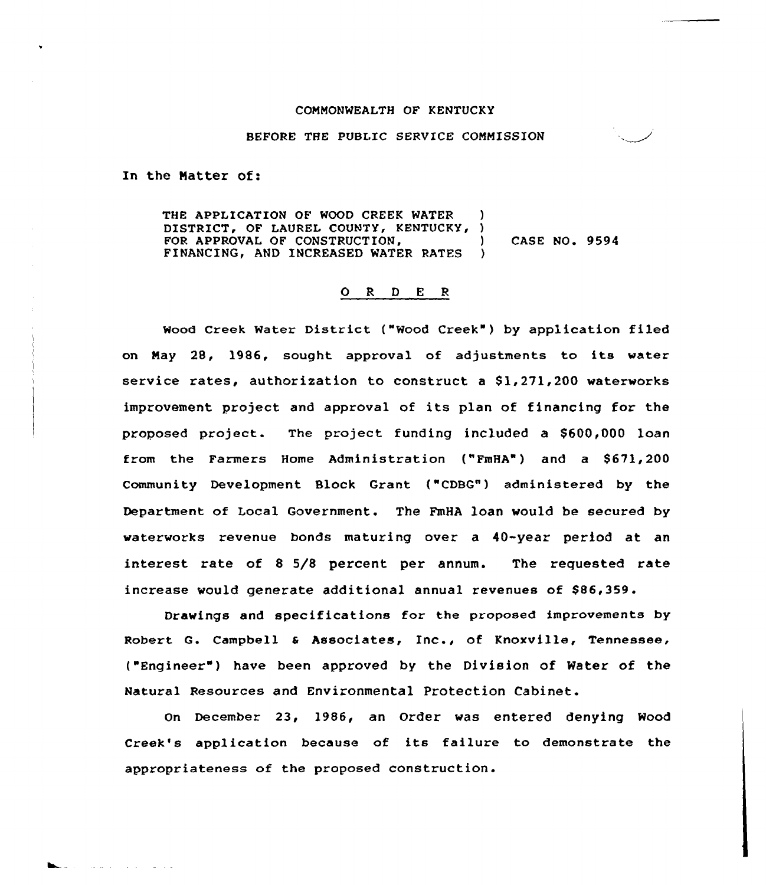## COMMONWEALTH OF KENTUCKY

## BEFORE THE PUBLIC SERVICE COMMISSION

In the Natter of:

and a strong to the state

THE APPLICATION OF WOOD CREEK WATER DISTRICT, OF LAUREL COUNTY, KENTUCKY, ) FOR APPROVAL OF CONSTRUCTION, (and ) CASE NO. 9594 FINANCING, AND INCREASED WATER RATES

# O R D E R

Wood Creek Water District ("Wood Creek") by application filed on Nay 28, 1986, sought approval of adjustments to its water service rates, authorization to construct a  $$1,271,200$  waterworks improvement project and approval of its plan of financing for the proposed project. The project funding included a \$600,000 loan from the Farmers Home Administration ("FmHA") and a \$671,200 Community Development Block Grant ("CDBG") administered by the Department of Local Government. The FmHA loan would be secured by waterworks revenue bonds maturing over a 40-year period at an interest rate of <sup>8</sup> 5/8 percent per annum. The requested rate increase would generate additional annual revenues of \$86,359.

Drawings and specifications for the proposed improvements by Robert Q. campbell <sup>a</sup> Associates, Inc., of Knoxville, Tennessee, ("Engineer" ) have been approved by the Division of Water of the Natural Resources and Environmental Protection Cabinet.

On December 23, 1986, an Order was entered denying Wood Creek's application because of its failure to demonstrate the appropriateness of the proposed construction.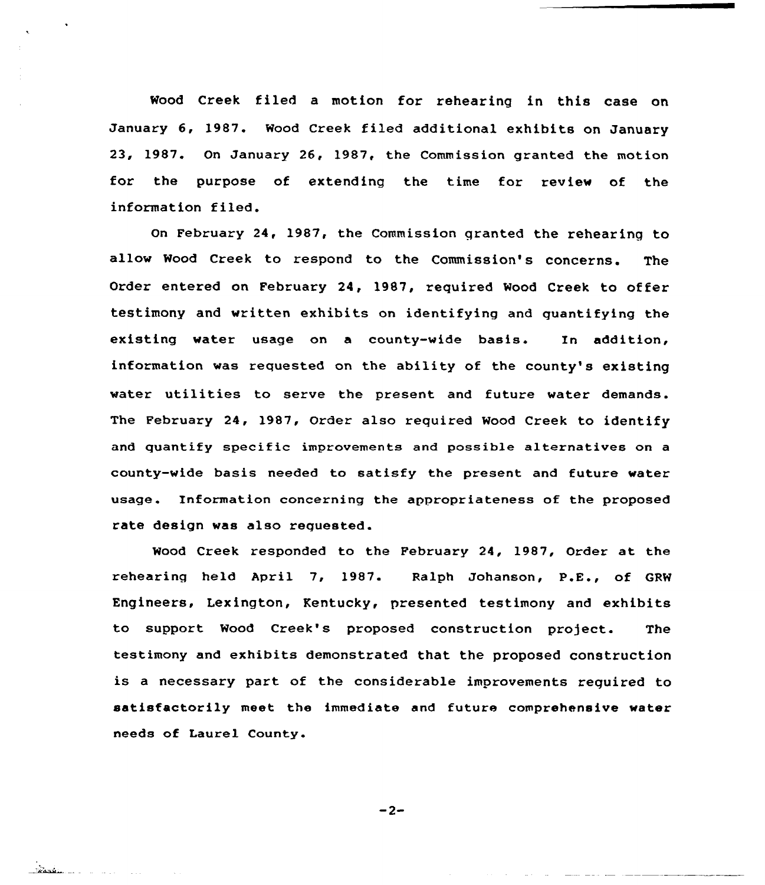Wood Creek filed a motion for rehearing in this case on January 6, 1987. Wood Creek filed additional exhibits on January 23, 1987. On January 26, 1987, the Commission granted the motion for the purpose of extending the time for review of the information filed.

On February 24, 1987, the Commission qranted the rehearing to allow Wood Creek to respond to the Commission's concerns. The Order entered on February 24, 1987, required Mood Creek to offer testimony and written exhibits on identifying and quantifying the existing water usage on a county-wide basis. In addition, information was requested on the ability of the county's existing water utilities to serve the present and future water demands. The February 24, 1987, Order also required Wood Creek to identify and quantify specific improvements and possible alternatives on a county-wide basis needed to satisfy the present and future water usage. Information concerning the appropriateness of the proposed rate design was also requested.

Wood Creek responded to the February 24, 1987, Order at the rehearing held April 7, 1987. Ralph Johanson, P.E., of GRW Engineers, Lexington, Kentucky, presented testimony and exhibits to support Mood Creek's proposed construction project. The testimony and exhibits demonstrated that the proposed construction is <sup>a</sup> necessary part of the considerable imorovements required to satisfactorily meet the immediate and future comprehensive water needs of Laurel County.

 $-2-$ 

<u>and a community of the second the second second and the second second second and second second and second and </u>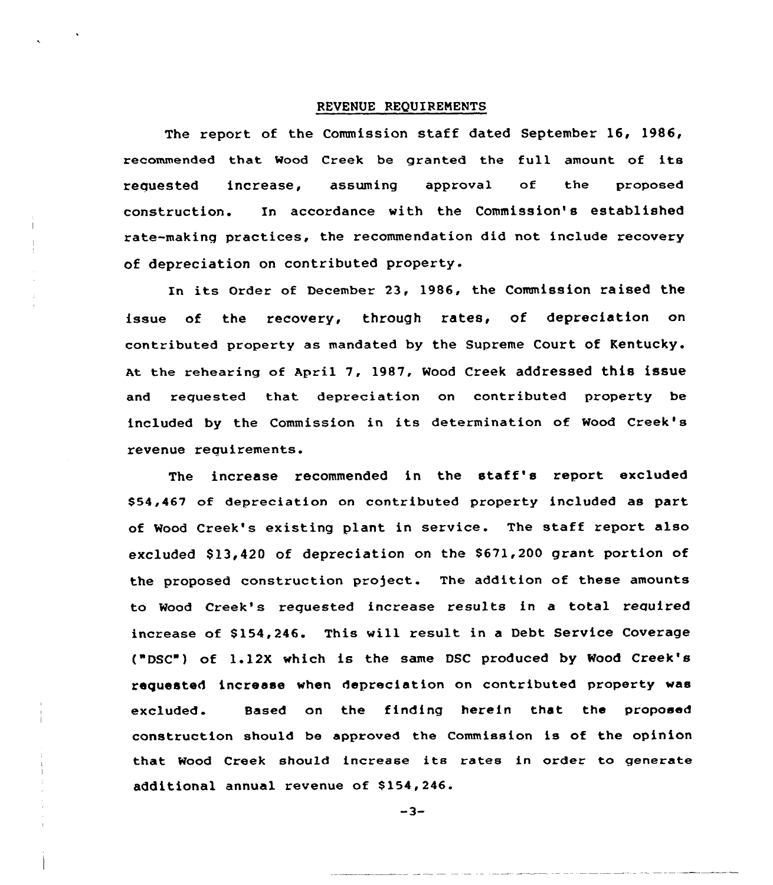#### REUENUE REQUIREMENTS

The report of the Commission staff dated September 16, 1986, recommended that Mood Creek be granted the full amount of its requested increase, assuming approval of the propose construction. In accordance with the Commission's established rate-making practices, the recommendation did not include recovery of depreciation on contributed property.

In its Order of December 23, 1986, the Commission raised the issue of the recovery, through rates, of depreciation on contributed property as mandated by the Supreme Court of Kentucky. At the rehearing of April 7, 1987, Wood Creek addressed this issue and requested that depreciation on contributed property be included by the Commission in its determination of Wood Creek's revenue requirements.

The increase recommended in the staff's report excluded \$54,467 of depreciation on contributed property included as part of Wood Creek's existing plant in service. The staff report also excluded \$13,420 of depreciation on the \$671,200 grant portion of the proposed construction project. The addition of these amounts to Wood Creek's reguested increase results in a total required increase of \$154,246. This will result in a Debt Service Coverage ("DSC ) of 1.12X which is the same DSC produced by Wood Creek's requested increase when depreciation on contributed property was excluded. Sased on the finding herein that the proposed construction should be approved the Commission is of the opinion that Wood Creek should increase its rates in order to generate additional annual revenue of \$154,246.

 $-3-$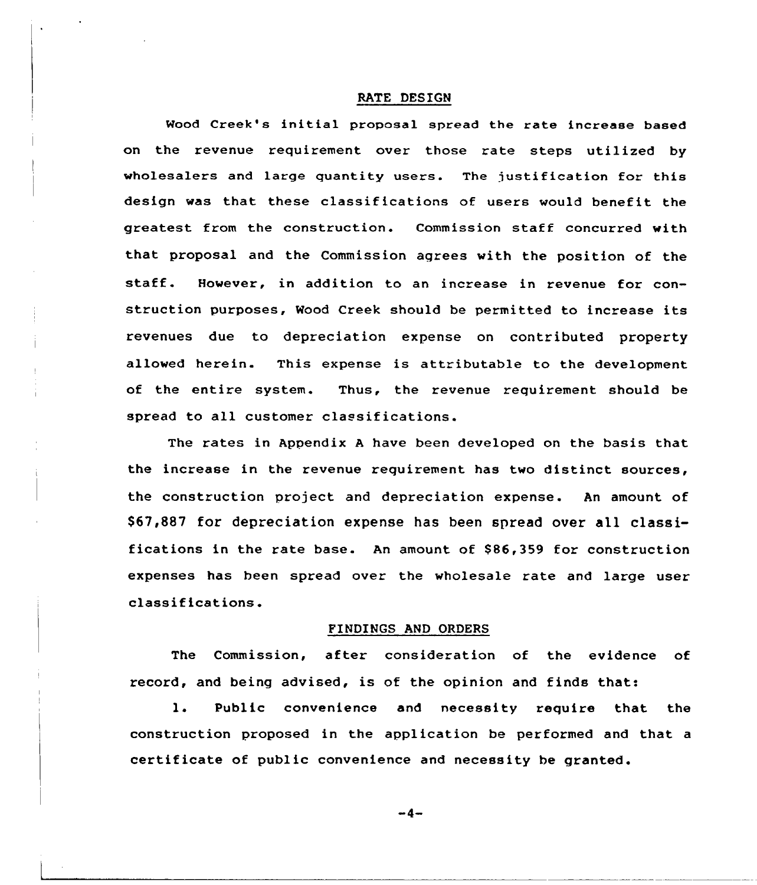#### RATE DESIGN

Wood Creek's initial proposal spread the rate increase based on the revenue requirement over those rate steps utilized by wholesalers and large quantity users. The justification for this design was that these classifications of users would benefit the greatest from the construction. Commission staff concurred with that proposal and the Commission aqrees with the position of the staff. However, in addition to an increase in revenue for construction purposes, Wood Creek should be permitted to increase its revenues due to depreciation expense on contributed property allowed herein. This expense is attributable to the development of the entire system. Thus, the revenue requirement should be spread to all customer classifications.

The rates in Appendix <sup>A</sup> have been developed on the basis that the increase in the revenue requirement has two distinct sources, the construction project and depreciation expense. An amount of \$ 67,887 for depreciation expense has been spread over all classifications in the rate base. An amount of \$86,359 for construction expenses has been spread over the wholesale rate and large user classifications.

#### FINDINGS AND ORDERS

The Commission, after consideration of the evidence of record, and being advised, is of the opinion and finds that:

1. Public convenience and necessity require that the construction proposed in the application be performed and that a certificate of public convenience and necessity be granted.

 $-4-$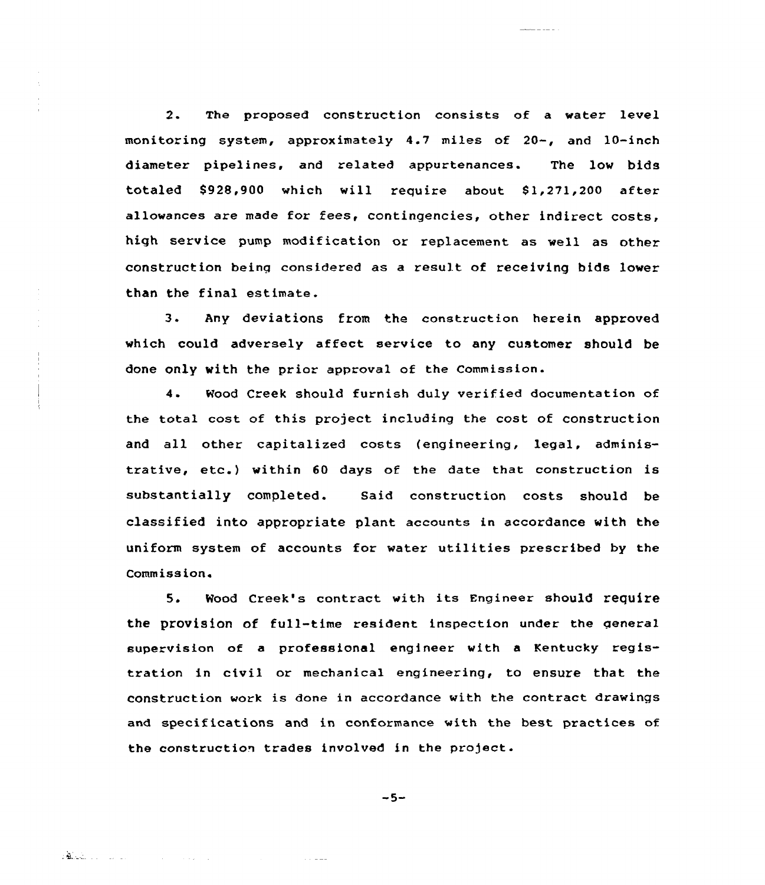2. The proposed construction consists of a water level monitoring system, approximately 4.7 miles of 20-, and 10-inch diameter pipelines. and related appurtenances. The low bids totaled S928,900 which will require abaut Sl,271,200 after allowances are made for fees, contingencies, other indirect costs, high service pump modification or replacement as well as other construction being cansidered as a result of receiving bids lower than the final estimate.

3. Any deviations from the construction herein approved which could adversely affect service to any customer should be done only with the prior approval of the Commission.

4- Wood Creek should furnish duly verified documentation of the total cost of this project including the cost of construction and all other capitalized costs (engineering, legal, administrative, etc.) within <sup>60</sup> days af the date that construction is substantially completed. Said construction costs should be classified into appropriate plant accounts in accordance with the uniform system of accounts for water utilities prescribed by the Commission.

5. Mood Creek's contract with its Engineer should require the provision of full-time resident inspection under the general supervision af a professional engineer with a Kentucky registration in civil or mechanical engineering, to ensure that the construction work is dane in accordance with the contract drawings and specifications and in conformance with the best practices of the construction trades involved in the project.

 $-5-$ 

 $\alpha$  ,  $\alpha$  ,  $\alpha$  ,  $\alpha$ 

Barbara and the state of the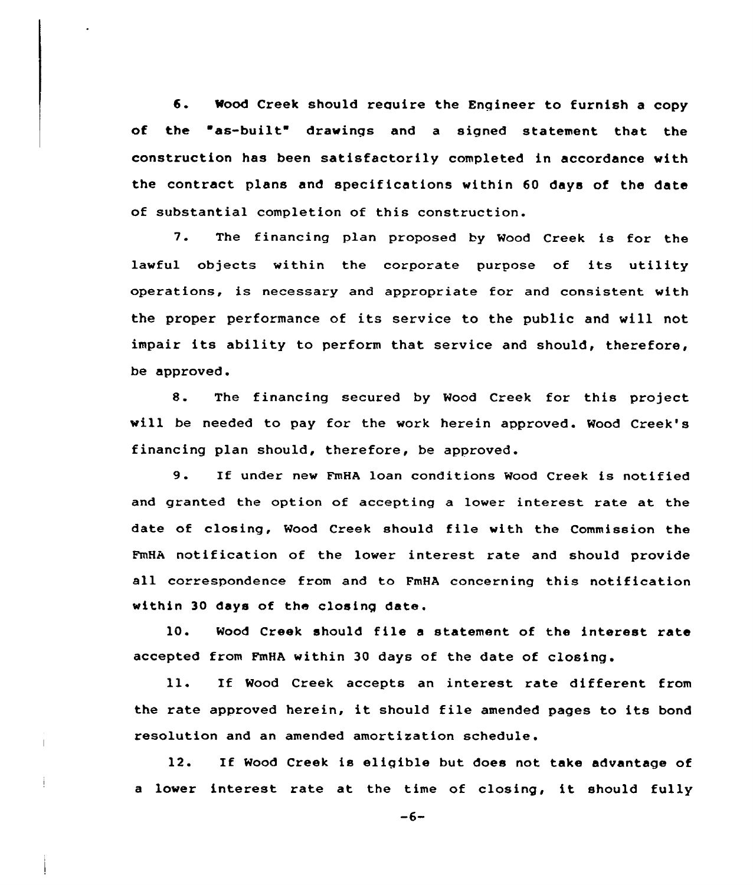6. Wood Creek should reguire the Engineer to furnish <sup>a</sup> copy of the "as-built" drawings and a signed statement that the construction has been satisfactorily completed in accordance with the contract plans and specifications within 60 days of the date of substantial completion of this construction.

7. The financing plan proposed by Wood Creek is for the lawful objects within the corporate purpose of its utility operations, is necessary and appropriate for and consistent with the proper performance of its service to the public and will not impair its ability to perform that service and should, therefore, be approved.

8. The financing secured by Wood Creek for this project will be needed to pay for the work herein approved. Wood Creek's financing plan should, therefore, be approved.

9. If under new FmHA loan conditions Wood Creek is notified and granted the option of accepting a lower interest rate at the date of closing, Wood Creek should file with the Commission the FmHA notification of the lower interest rate and should provide all correspondence from and to FmHA concerning this notification within 30 days of the closing date.

10. Wood Creek should file <sup>a</sup> statement of the interest rate accepted from FmHA within 30 days of the date of closing.

11. If Wood Creek accepts an interest rate different from the rate approved herein, it should file amended pages to its bond resolution and an amended amortization schedule.

12. If Wood Creek is eligible but does not take advantage of a lower interest rate at the time of closing, it should fully

 $-6-$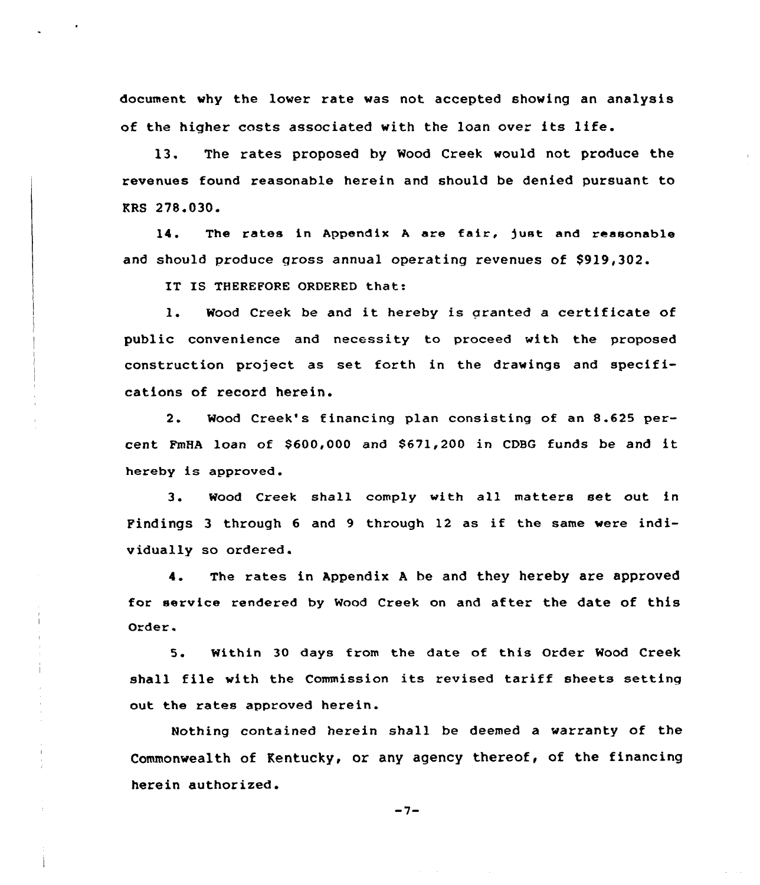document why the lover rate vas not accepted showing an analysis of the higher costs associated with the loan over its life.

13. The rates proposed by Wood Creek would not produce the revenues found reasonable herein and should be denied pursuant to KRS 278.030.

14. The rates in Appendix A are fair, just and reasonable and should produce gross annual operating revenues of \$919,302.

IT IS THEREFORE ORDERED that:

1. Wood Creek be and it hereby is granted <sup>a</sup> certificate of public convenience and necessity to proceed with the proposed construction project as set forth in the drawings and specifications of record herein.

2. Wood Creek's financing plan consisting of an 8.625 percent FmHA loan of \$600,000 and \$671,200 in CDBG funds be and it hereby is approved.

3. Wood Creek shall comply with all matters set out in Findings <sup>3</sup> through <sup>6</sup> and <sup>9</sup> through 12 as if the same vere individually so ordered.

4. The rates in Appendix <sup>A</sup> be and they hereby are approved for service rendered by Wood Creek on and after the date of this Order.

5. Within 30 days from the date of this Order Wood Creek shall file with the Commission its revised tariff sheets setting out the rates approved herein.

Nothing contained herein shall be deemed a varranty of the Commonwealth of Kentucky, or any agency thereof, of the financing herein authorized.

 $-7-$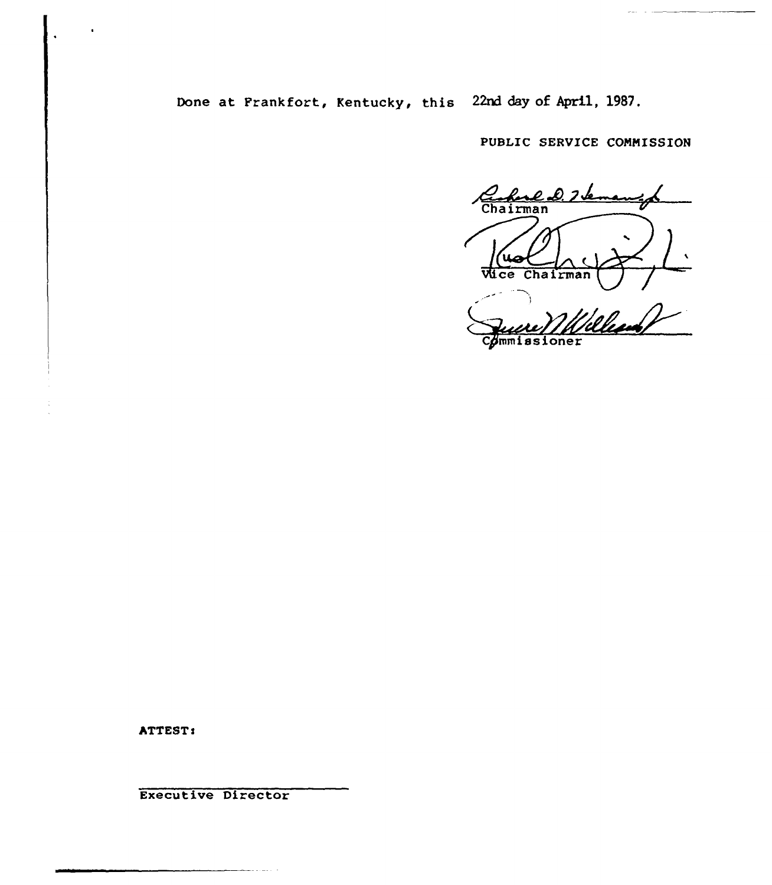Done at Frankfort, Kentucky, this 22nd day of April, 1987.

PUBLIC SERUICE COMMISSION

Chairman e D. I se  $Chairman$ Wice Commissioner

ATTEST:

Executive Director